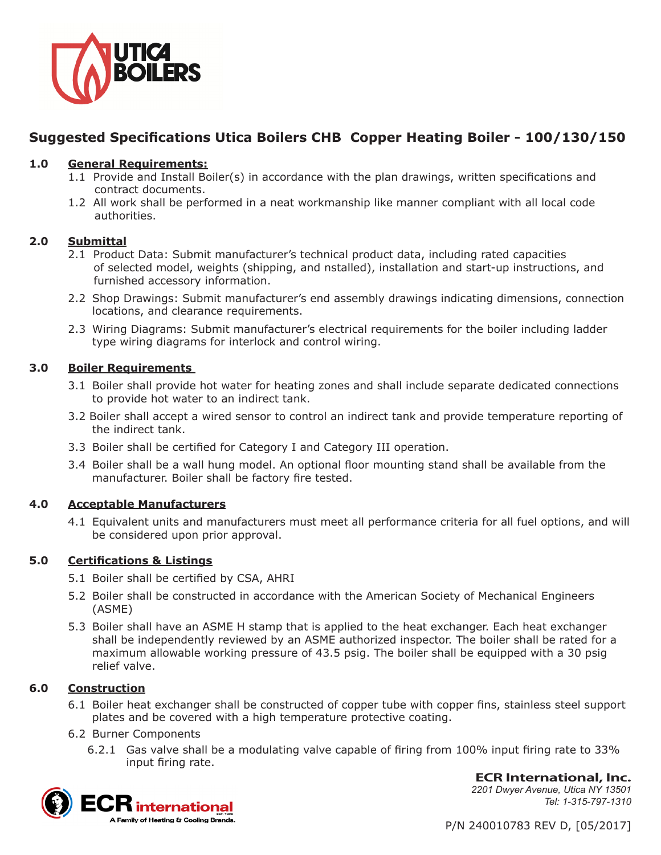

# **Suggested Specifications Utica Boilers CHB Copper Heating Boiler - 100/130/150**

# **1.0 General Requirements:**

- 1.1 Provide and Install Boiler(s) in accordance with the plan drawings, written specifications and contract documents.
- 1.2 All work shall be performed in a neat workmanship like manner compliant with all local code authorities.

# **2.0 Submittal**

- 2.1 Product Data: Submit manufacturer's technical product data, including rated capacities of selected model, weights (shipping, and nstalled), installation and start-up instructions, and furnished accessory information.
- 2.2 Shop Drawings: Submit manufacturer's end assembly drawings indicating dimensions, connection locations, and clearance requirements.
- 2.3 Wiring Diagrams: Submit manufacturer's electrical requirements for the boiler including ladder type wiring diagrams for interlock and control wiring.

# **3.0 Boiler Requirements**

- 3.1 Boiler shall provide hot water for heating zones and shall include separate dedicated connections to provide hot water to an indirect tank.
- 3.2 Boiler shall accept a wired sensor to control an indirect tank and provide temperature reporting of the indirect tank.
- 3.3 Boiler shall be certified for Category I and Category III operation.
- 3.4 Boiler shall be a wall hung model. An optional floor mounting stand shall be available from the manufacturer. Boiler shall be factory fire tested.

# **4.0 Acceptable Manufacturers**

4.1 Equivalent units and manufacturers must meet all performance criteria for all fuel options, and will be considered upon prior approval.

# **5.0 Certifications & Listings**

- 5.1 Boiler shall be certified by CSA, AHRI
- 5.2 Boiler shall be constructed in accordance with the American Society of Mechanical Engineers (ASME)
- 5.3 Boiler shall have an ASME H stamp that is applied to the heat exchanger. Each heat exchanger shall be independently reviewed by an ASME authorized inspector. The boiler shall be rated for a maximum allowable working pressure of 43.5 psig. The boiler shall be equipped with a 30 psig relief valve.

# **6.0 Construction**

- 6.1 Boiler heat exchanger shall be constructed of copper tube with copper fins, stainless steel support plates and be covered with a high temperature protective coating.
- 6.2 Burner Components
	- 6.2.1 Gas valve shall be a modulating valve capable of firing from 100% input firing rate to 33% input firing rate.



**ECR International, Inc.** *2201 Dwyer Avenue, Utica NY 13501 Tel: 1-315-797-1310*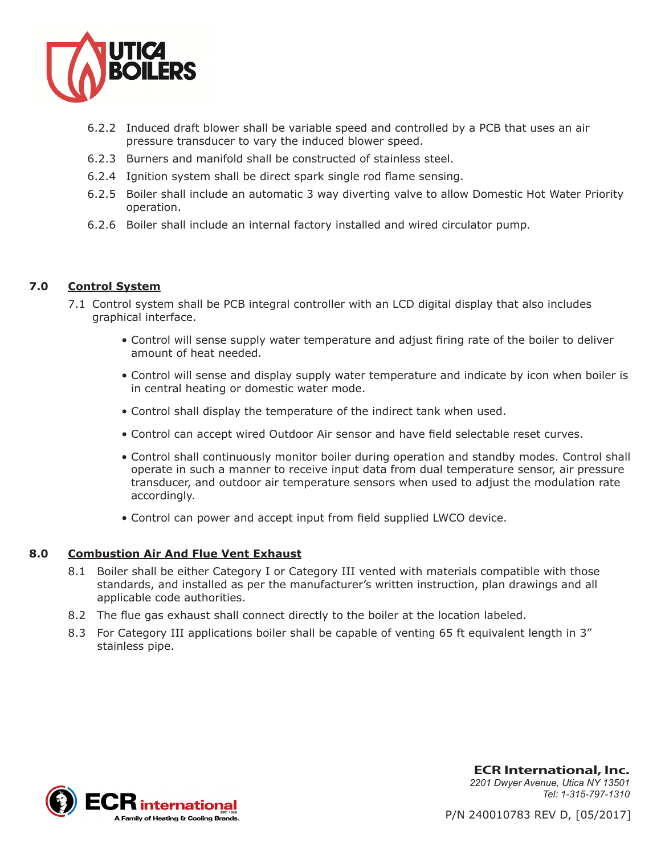

- 6.2.2 Induced draft blower shall be variable speed and controlled by a PCB that uses an air pressure transducer to vary the induced blower speed.
- 6.2.3 Burners and manifold shall be constructed of stainless steel.
- 6.2.4 Ignition system shall be direct spark single rod flame sensing.
- 6.2.5 Boiler shall include an automatic 3 way diverting valve to allow Domestic Hot Water Priority operation.
- 6.2.6 Boiler shall include an internal factory installed and wired circulator pump.

## **7.0 Control System**

- 7.1 Control system shall be PCB integral controller with an LCD digital display that also includes graphical interface.
	- Control will sense supply water temperature and adjust firing rate of the boiler to deliver amount of heat needed.
	- Control will sense and display supply water temperature and indicate by icon when boiler is in central heating or domestic water mode.
	- Control shall display the temperature of the indirect tank when used.
	- Control can accept wired Outdoor Air sensor and have field selectable reset curves.
	- Control shall continuously monitor boiler during operation and standby modes. Control shall operate in such a manner to receive input data from dual temperature sensor, air pressure transducer, and outdoor air temperature sensors when used to adjust the modulation rate accordingly.
	- Control can power and accept input from field supplied LWCO device.

#### **8.0 Combustion Air And Flue Vent Exhaust**

- 8.1 Boiler shall be either Category I or Category III vented with materials compatible with those standards, and installed as per the manufacturer's written instruction, plan drawings and all applicable code authorities.
- 8.2 The flue gas exhaust shall connect directly to the boiler at the location labeled.
- 8.3 For Category III applications boiler shall be capable of venting 65 ft equivalent length in 3" stainless pipe.



**ECR International, Inc.** *2201 Dwyer Avenue, Utica NY 13501 Tel: 1-315-797-1310*

P/N 240010783 REV D, [05/2017]